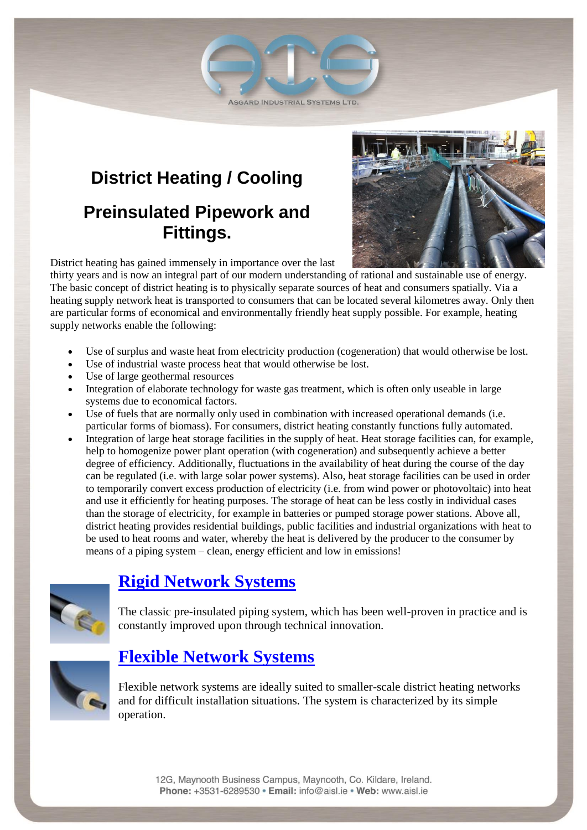**ASGARD INDUSTRIAL SYSTEMS LTD.** 

# **District Heating / Cooling Preinsulated Pipework and Fittings.**



District heating has gained immensely in importance over the last

thirty years and is now an integral part of our modern understanding of rational and sustainable use of energy. The basic concept of district heating is to physically separate sources of heat and consumers spatially. Via a heating supply network heat is transported to consumers that can be located several kilometres away. Only then are particular forms of economical and environmentally friendly heat supply possible. For example, heating supply networks enable the following:

- Use of surplus and waste heat from electricity production (cogeneration) that would otherwise be lost.
- Use of industrial waste process heat that would otherwise be lost.
- Use of large geothermal resources
- Integration of elaborate technology for waste gas treatment, which is often only useable in large systems due to economical factors.
- Use of fuels that are normally only used in combination with increased operational demands (i.e. particular forms of biomass). For consumers, district heating constantly functions fully automated.
- Integration of large heat storage facilities in the supply of heat. Heat storage facilities can, for example, help to homogenize power plant operation (with cogeneration) and subsequently achieve a better degree of efficiency. Additionally, fluctuations in the availability of heat during the course of the day can be regulated (i.e. with large solar power systems). Also, heat storage facilities can be used in order to temporarily convert excess production of electricity (i.e. from wind power or photovoltaic) into heat and use it efficiently for heating purposes. The storage of heat can be less costly in individual cases than the storage of electricity, for example in batteries or pumped storage power stations. Above all, district heating provides residential buildings, public facilities and industrial organizations with heat to be used to heat rooms and water, whereby the heat is delivered by the producer to the consumer by means of a piping system – clean, energy efficient and low in emissions!



# **[Rigid Network Systems](http://www.isoplus-pipes.com/en/products/rigid-connection-systems/)**

The classic pre-insulated piping system, which has been well-proven in practice and is constantly improved upon through technical innovation.



### **[Flexible Network Systems](http://www.isoplus-pipes.com/en/products/flexible-pipe-systems/)**

Flexible network systems are ideally suited to smaller-scale district heating networks and for difficult installation situations. The system is characterized by its simple operation.